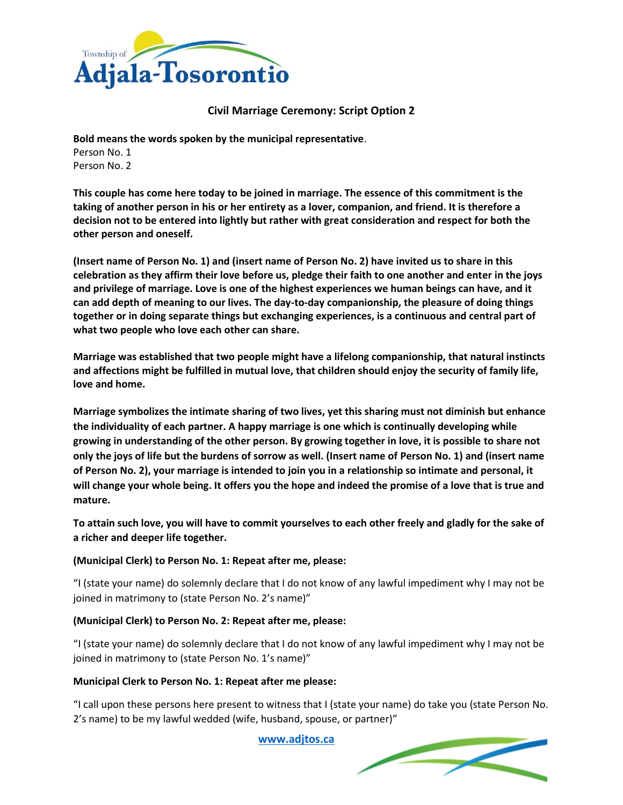

# **Civil Marriage Ceremony: Script Option 2**

**Bold means the words spoken by the municipal representative**. Person No. 1 Person No. 2

**This couple has come here today to be joined in marriage. The essence of this commitment is the taking of another person in his or her entirety as a lover, companion, and friend. It is therefore a decision not to be entered into lightly but rather with great consideration and respect for both the other person and oneself.**

**(Insert name of Person No. 1) and (insert name of Person No. 2) have invited us to share in this celebration as they affirm their love before us, pledge their faith to one another and enter in the joys and privilege of marriage. Love is one of the highest experiences we human beings can have, and it can add depth of meaning to our lives. The day-to-day companionship, the pleasure of doing things together or in doing separate things but exchanging experiences, is a continuous and central part of what two people who love each other can share.**

**Marriage was established that two people might have a lifelong companionship, that natural instincts and affections might be fulfilled in mutual love, that children should enjoy the security of family life, love and home.**

**Marriage symbolizes the intimate sharing of two lives, yet this sharing must not diminish but enhance the individuality of each partner. A happy marriage is one which is continually developing while growing in understanding of the other person. By growing together in love, it is possible to share not only the joys of life but the burdens of sorrow as well. (Insert name of Person No. 1) and (insert name of Person No. 2), your marriage is intended to join you in a relationship so intimate and personal, it will change your whole being. It offers you the hope and indeed the promise of a love that is true and mature.**

**To attain such love, you will have to commit yourselves to each other freely and gladly for the sake of a richer and deeper life together.**

## **(Municipal Clerk) to Person No. 1: Repeat after me, please:**

"I (state your name) do solemnly declare that I do not know of any lawful impediment why I may not be joined in matrimony to (state Person No. 2's name)"

## **(Municipal Clerk) to Person No. 2: Repeat after me, please:**

"I (state your name) do solemnly declare that I do not know of any lawful impediment why I may not be joined in matrimony to (state Person No. 1's name)"

## **Municipal Clerk to Person No. 1: Repeat after me please:**

"I call upon these persons here present to witness that I (state your name) do take you (state Person No. 2's name) to be my lawful wedded (wife, husband, spouse, or partner)"

**[www.adjtos.ca](http://www.adjtos.ca/)**